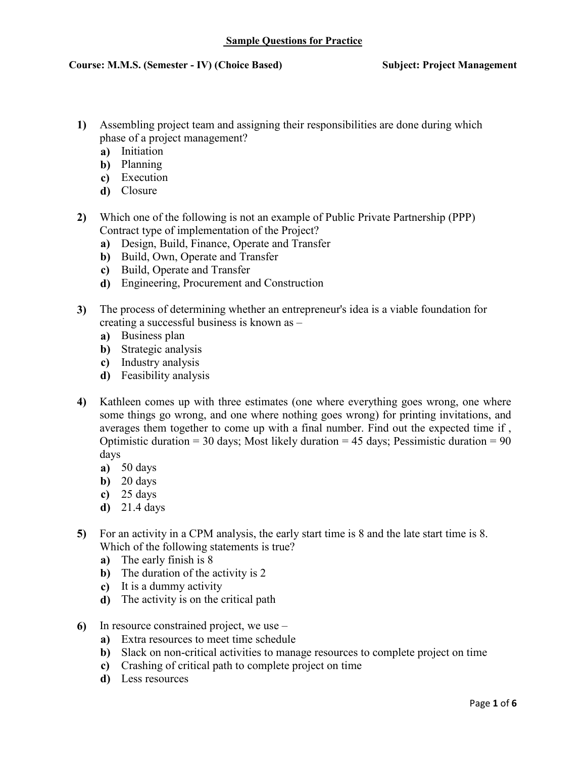- Assembling project team and assigning their responsibilities are done during which  $1)$ phase of a project management?
	- a) Initiation
	- **b**) Planning
	- c) Execution
	- d) Closure
- Which one of the following is not an example of Public Private Partnership (PPP)  $2)$ Contract type of implementation of the Project?
	- a) Design, Build, Finance, Operate and Transfer
	- b) Build, Own, Operate and Transfer
	- c) Build, Operate and Transfer
	- d) Engineering, Procurement and Construction
- The process of determining whether an entrepreneur's idea is a viable foundation for  $3)$ creating a successful business is known as
	- a) Business plan
	- **b**) Strategic analysis
	- c) Industry analysis
	- **d**) Feasibility analysis
- $\overline{4}$ Kathleen comes up with three estimates (one where everything goes wrong, one where some things go wrong, and one where nothing goes wrong) for printing invitations, and averages them together to come up with a final number. Find out the expected time if, Optimistic duration = 30 days; Most likely duration = 45 days; Pessimistic duration =  $90$ davs
	- $a)$  50 days
	- $\overrightarrow{b}$  20 days
	- c)  $25 \text{ days}$
	- $d)$  21.4 days
- For an activity in a CPM analysis, the early start time is 8 and the late start time is 8.  $5)$ Which of the following statements is true?
	- a) The early finish is 8
	- **b**) The duration of the activity is  $2$
	- $\dot{\mathbf{c}}$  It is a dummy activity
	- **d**) The activity is on the critical path
- In resource constrained project, we use  $6$ 
	- a) Extra resources to meet time schedule
	- b) Slack on non-critical activities to manage resources to complete project on time
	- c) Crashing of critical path to complete project on time
	- d) Less resources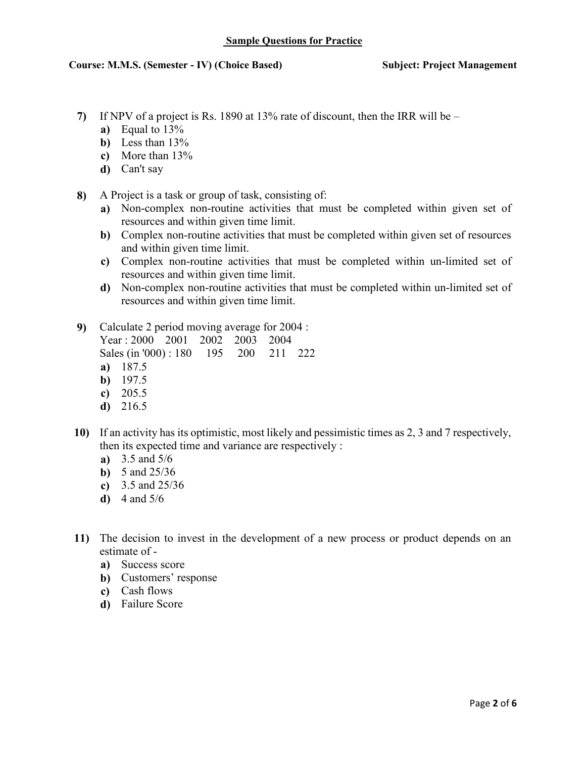- If NPV of a project is Rs. 1890 at 13% rate of discount, then the IRR will be  $7)$ 
	- a) Equal to  $13\%$
	- **b**) Less than  $13\%$
	- c) More than  $13\%$
	- $d)$  Can't say
- A Project is a task or group of task, consisting of: 8)
	- a) Non-complex non-routine activities that must be completed within given set of resources and within given time limit.
	- b) Complex non-routine activities that must be completed within given set of resources and within given time limit.
	- c) Complex non-routine activities that must be completed within un-limited set of resources and within given time limit.
	- d) Non-complex non-routine activities that must be completed within un-limited set of resources and within given time limit.
- 9) Calculate 2 period moving average for 2004 :

Year: 2000 2001 2002 2003 2004 Sales (in '000): 180 195 200 211 222 a)  $187.5$  $\mathbf{b}$ ) 197.5

- 
- c)  $205.5$
- $d)$  216.5
- 10) If an activity has its optimistic, most likely and pessimistic times as 2, 3 and 7 respectively, then its expected time and variance are respectively:
	- a)  $3.5$  and  $5/6$
	- **b**) 5 and  $25/36$
	- c)  $3.5$  and  $25/36$
	- **d**) 4 and  $5/6$
- 11) The decision to invest in the development of a new process or product depends on an estimate of
	- a) Success score
	- **b**) Customers' response
	- c) Cash flows
	- **d**) Failure Score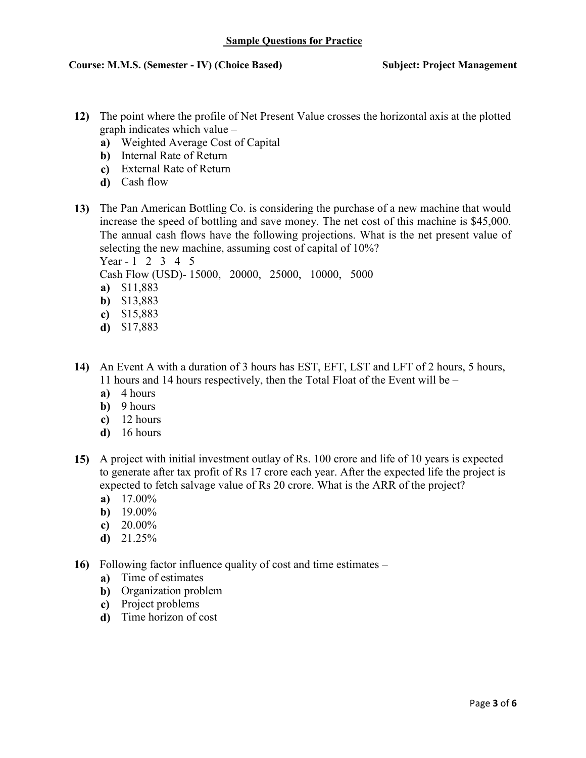- 12) The point where the profile of Net Present Value crosses the horizontal axis at the plotted graph indicates which value –
	- a) Weighted Average Cost of Capital
	- **b**) Internal Rate of Return
	- c) External Rate of Return
	- **d**) Cash flow
- 13) The Pan American Bottling Co. is considering the purchase of a new machine that would increase the speed of bottling and save money. The net cost of this machine is \$45,000. The annual cash flows have the following projections. What is the net present value of selecting the new machine, assuming cost of capital of 10%? Year - 1 2 3 4 5

Cash Flow (USD)-15000, 20000, 25000, 10000, 5000

- a) \$11,883
- **b**)  $$13,883$
- c)  $$15,883$
- d)  $$17,883$
- 14) An Event A with a duration of 3 hours has EST, EFT, LST and LFT of 2 hours, 5 hours, 11 hours and 14 hours respectively, then the Total Float of the Event will be –
	- $a)$  4 hours
	- $b)$  9 hours
	- $c)$  12 hours
	- $d)$  16 hours
- 15) A project with initial investment outlay of Rs. 100 crore and life of 10 years is expected to generate after tax profit of Rs 17 crore each year. After the expected life the project is expected to fetch salvage value of Rs 20 crore. What is the ARR of the project?
	- a)  $17.00\%$
	- **b**)  $19.00\%$
	- c)  $20.00\%$
	- $d)$  21.25%
- 16) Following factor influence quality of cost and time estimates
	- a) Time of estimates
	- **b**) Organization problem
	- c) Project problems
	- d) Time horizon of cost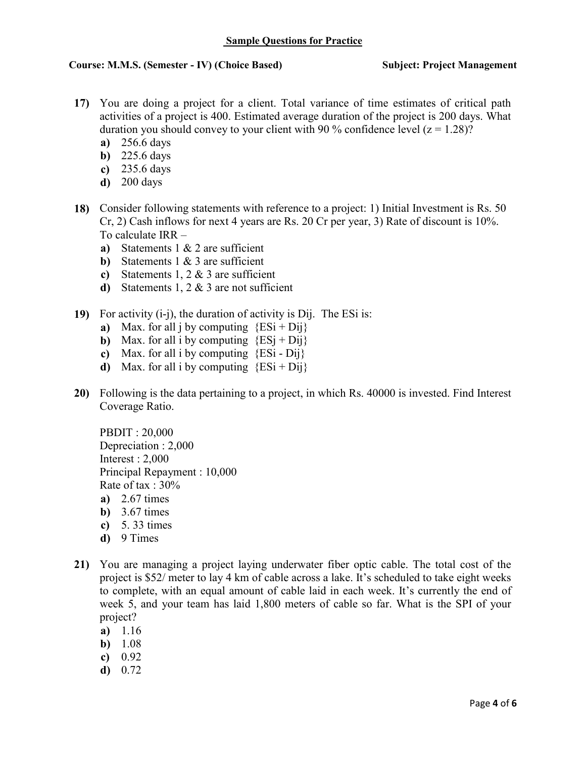## **Sample Questions for Practice**

## **Course: M.M.S. (Semester - IV) (Choice Based)**

#### **Subject: Project Management**

- 17) You are doing a project for a client. Total variance of time estimates of critical path activities of a project is 400. Estimated average duration of the project is 200 days. What duration you should convey to your client with 90 % confidence level  $(z = 1.28)$ ?
	- a)  $256.6$  days
	- $\overline{b}$ ) 225.6 days
	- c)  $235.6$  days
	- $d)$  200 days
- 18) Consider following statements with reference to a project: 1) Initial Investment is Rs. 50  $Cr$ , 2) Cash inflows for next 4 years are Rs. 20 Cr per year, 3) Rate of discount is 10%. To calculate  $IRR$ 
	- a) Statements  $1 \& 2$  are sufficient
	- **b**) Statements  $\frac{1}{2}$  & 3 are sufficient
	- c) Statements 1, 2  $&$  3 are sufficient
	- **d**) Statements 1, 2  $\&$  3 are not sufficient
- 19) For activity  $(i-j)$ , the duration of activity is Dij. The ESi is:
	- a) Max. for all *j* by computing  ${ESi + Dij}$
	- **b**) Max. for all i by computing  ${ESi + Di}{i}$
	- c) Max. for all i by computing  ${ESi Dij}$
	- **d**) Max. for all i by computing  $\{ESi + Dij\}$
- 20) Following is the data pertaining to a project, in which Rs. 40000 is invested. Find Interest Coverage Ratio.

**PBDIT: 20,000** Depreciation: 2,000 Interest :  $2,000$ Principal Repayment: 10,000 Rate of tax :  $30\%$ a)  $2.67 \text{ times}$ **b**)  $3.67 \text{ times}$ c)  $5.33 \text{ times}$ 

- $d)$  9 Times
- 21) You are managing a project laying underwater fiber optic cable. The total cost of the project is \$52/ meter to lay 4 km of cable across a lake. It's scheduled to take eight weeks to complete, with an equal amount of cable laid in each week. It's currently the end of week 5, and your team has laid 1,800 meters of cable so far. What is the SPI of your project?
	- a)  $1.16$
	- $b) 1.08$
	- c)  $0.92$
	- $d) 0.72$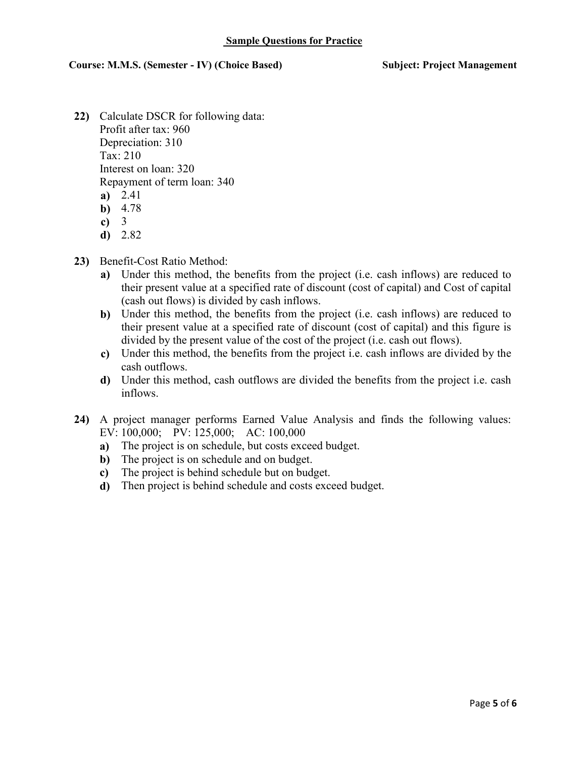**Subject: Project Management** 

- 22) Calculate DSCR for following data: Profit after tax: 960 Depreciation: 310 Tax: 210 Interest on loan: 320 Repayment of term loan: 340  $a) 2.41$ **b**)  $4.78$ 
	- $\overline{c}$ ) 3
	- $d) 2.82$
- 23) Benefit-Cost Ratio Method:
	- a) Under this method, the benefits from the project (i.e. cash inflows) are reduced to their present value at a specified rate of discount (cost of capital) and Cost of capital (cash out flows) is divided by cash inflows.
	- b) Under this method, the benefits from the project (i.e. cash inflows) are reduced to their present value at a specified rate of discount (cost of capital) and this figure is divided by the present value of the cost of the project (i.e. cash out flows).
	- c) Under this method, the benefits from the project i.e. cash inflows are divided by the cash outflows.
	- d) Under this method, cash outflows are divided the benefits from the project i.e. cash inflows.
- 24) A project manager performs Earned Value Analysis and finds the following values: EV: 100,000; PV: 125,000; AC: 100,000
	- a) The project is on schedule, but costs exceed budget.
	- b) The project is on schedule and on budget.
	- c) The project is behind schedule but on budget.
	- **d**) Then project is behind schedule and costs exceed budget.